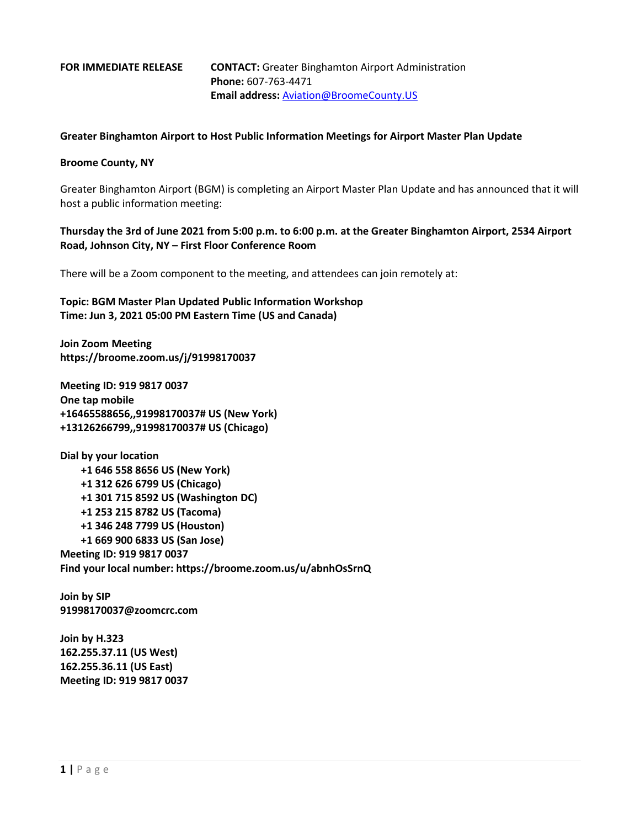## **FOR IMMEDIATE RELEASE CONTACT:** Greater Binghamton Airport Administration **Phone:** 607-763-4471 **Email address:** [Aviation@BroomeCounty.US](mailto:Aviation@BroomeCounty.US)

## **Greater Binghamton Airport to Host Public Information Meetings for Airport Master Plan Update**

## **Broome County, NY**

Greater Binghamton Airport (BGM) is completing an Airport Master Plan Update and has announced that it will host a public information meeting:

**Thursday the 3rd of June 2021 from 5:00 p.m. to 6:00 p.m. at the Greater Binghamton Airport, 2534 Airport Road, Johnson City, NY – First Floor Conference Room**

There will be a Zoom component to the meeting, and attendees can join remotely at:

**Topic: BGM Master Plan Updated Public Information Workshop Time: Jun 3, 2021 05:00 PM Eastern Time (US and Canada)**

**Join Zoom Meeting https://broome.zoom.us/j/91998170037**

**Meeting ID: 919 9817 0037 One tap mobile +16465588656,,91998170037# US (New York) +13126266799,,91998170037# US (Chicago)**

**Dial by your location +1 646 558 8656 US (New York) +1 312 626 6799 US (Chicago) +1 301 715 8592 US (Washington DC) +1 253 215 8782 US (Tacoma) +1 346 248 7799 US (Houston) +1 669 900 6833 US (San Jose) Meeting ID: 919 9817 0037 Find your local number: https://broome.zoom.us/u/abnhOsSrnQ**

**Join by SIP 91998170037@zoomcrc.com**

**Join by H.323 162.255.37.11 (US West) 162.255.36.11 (US East) Meeting ID: 919 9817 0037**